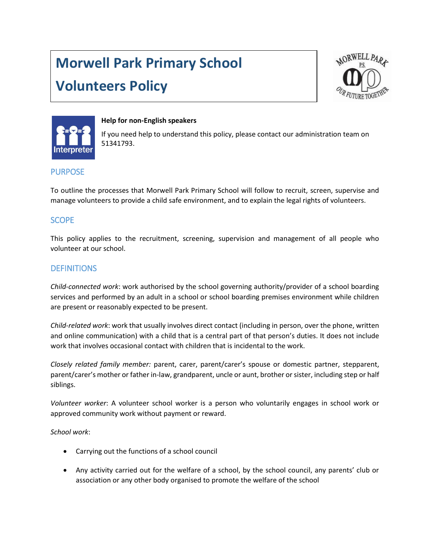# **Morwell Park Primary School**

# **Volunteers Policy**





#### **Help for non-English speakers**

If you need help to understand this policy, please contact our administration team on 51341793.

# PURPOSE

To outline the processes that Morwell Park Primary School will follow to recruit, screen, supervise and manage volunteers to provide a child safe environment, and to explain the legal rights of volunteers.

# **SCOPE**

This policy applies to the recruitment, screening, supervision and management of all people who volunteer at our school.

# **DEFINITIONS**

*Child-connected work*: work authorised by the school governing authority/provider of a school boarding services and performed by an adult in a school or school boarding premises environment while children are present or reasonably expected to be present.

*Child-related work*: work that usually involves direct contact (including in person, over the phone, written and online communication) with a child that is a central part of that person's duties. It does not include work that involves occasional contact with children that is incidental to the work.

*Closely related family member:* parent, carer, parent/carer's spouse or domestic partner, stepparent, parent/carer's mother or father in-law, grandparent, uncle or aunt, brother or sister, including step or half siblings.

*Volunteer worker*: A volunteer school worker is a person who voluntarily engages in school work or approved community work without payment or reward.

*School work*:

- Carrying out the functions of a school council
- Any activity carried out for the welfare of a school, by the school council, any parents' club or association or any other body organised to promote the welfare of the school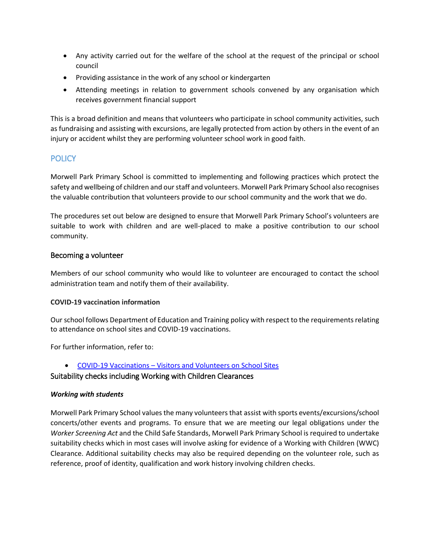- Any activity carried out for the welfare of the school at the request of the principal or school council
- Providing assistance in the work of any school or kindergarten
- Attending meetings in relation to government schools convened by any organisation which receives government financial support

This is a broad definition and means that volunteers who participate in school community activities, such as fundraising and assisting with excursions, are legally protected from action by others in the event of an injury or accident whilst they are performing volunteer school work in good faith.

# **POLICY**

Morwell Park Primary School is committed to implementing and following practices which protect the safety and wellbeing of children and our staff and volunteers. Morwell Park Primary School also recognises the valuable contribution that volunteers provide to our school community and the work that we do.

The procedures set out below are designed to ensure that Morwell Park Primary School's volunteers are suitable to work with children and are well-placed to make a positive contribution to our school community.

#### Becoming a volunteer

Members of our school community who would like to volunteer are encouraged to contact the school administration team and notify them of their availability.

#### **COVID-19 vaccination information**

Our school follows Department of Education and Training policy with respect to the requirements relating to attendance on school sites and COVID-19 vaccinations.

For further information, refer to:

COVID-19 Vaccinations – [Visitors and Volunteers on School Sites](https://www2.education.vic.gov.au/pal/covid-19-vaccinations-visitors-volunteers/policy)

# Suitability checks including Working with Children Clearances

#### *Working with students*

Morwell Park Primary School values the many volunteers that assist with sports events/excursions/school concerts/other events and programs. To ensure that we are meeting our legal obligations under the *Worker Screening Act* and the Child Safe Standards, Morwell Park Primary School is required to undertake suitability checks which in most cases will involve asking for evidence of a Working with Children (WWC) Clearance. Additional suitability checks may also be required depending on the volunteer role, such as reference, proof of identity, qualification and work history involving children checks.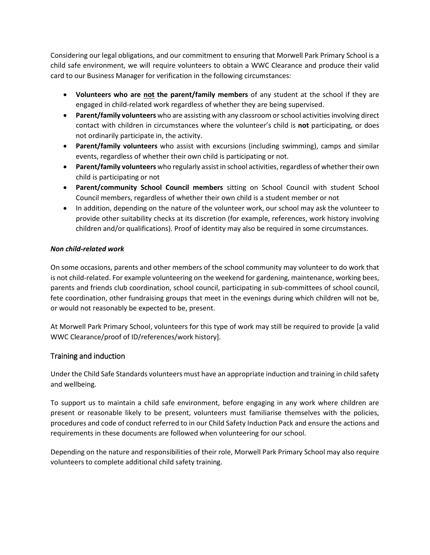Considering our legal obligations, and our commitment to ensuring that Morwell Park Primary School is a child safe environment, we will require volunteers to obtain a WWC Clearance and produce their valid card to our Business Manager for verification in the following circumstances:

- **Volunteers who are not the parent/family members** of any student at the school if they are engaged in child-related work regardless of whether they are being supervised.
- **Parent/family volunteers** who are assisting with any classroom or school activities involving direct contact with children in circumstances where the volunteer's child is **not** participating, or does not ordinarily participate in, the activity.
- **Parent/family volunteers** who assist with excursions (including swimming), camps and similar events, regardless of whether their own child is participating or not.
- **Parent/family volunteers** who regularly assist in school activities, regardless of whether their own child is participating or not
- **Parent/community School Council members** sitting on School Council with student School Council members, regardless of whether their own child is a student member or not
- In addition, depending on the nature of the volunteer work, our school may ask the volunteer to provide other suitability checks at its discretion (for example, references, work history involving children and/or qualifications). Proof of identity may also be required in some circumstances.

#### *Non child-related work*

On some occasions, parents and other members of the school community may volunteer to do work that is not child-related. For example volunteering on the weekend for gardening, maintenance, working bees, parents and friends club coordination, school council, participating in sub-committees of school council, fete coordination, other fundraising groups that meet in the evenings during which children will not be, or would not reasonably be expected to be, present.

At Morwell Park Primary School, volunteers for this type of work may still be required to provide [a valid WWC Clearance/proof of ID/references/work history].

#### Training and induction

Under the Child Safe Standards volunteers must have an appropriate induction and training in child safety and wellbeing.

To support us to maintain a child safe environment, before engaging in any work where children are present or reasonable likely to be present, volunteers must familiarise themselves with the policies, procedures and code of conduct referred to in our Child Safety Induction Pack and ensure the actions and requirements in these documents are followed when volunteering for our school.

Depending on the nature and responsibilities of their role, Morwell Park Primary School may also require volunteers to complete additional child safety training.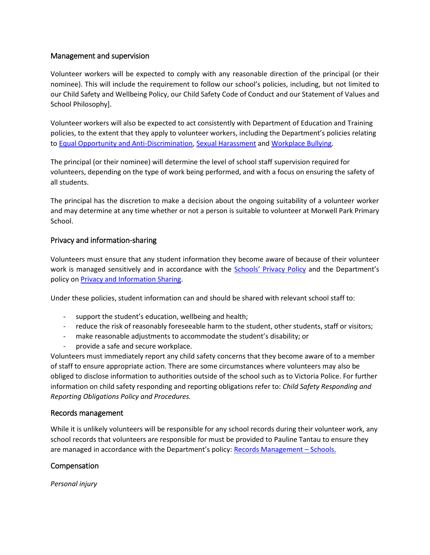#### Management and supervision

Volunteer workers will be expected to comply with any reasonable direction of the principal (or their nominee). This will include the requirement to follow our school's policies, including, but not limited to our Child Safety and Wellbeing Policy, our Child Safety Code of Conduct and our Statement of Values and School Philosophy].

Volunteer workers will also be expected to act consistently with Department of Education and Training policies, to the extent that they apply to volunteer workers, including the Department's policies relating to [Equal Opportunity and Anti-Discrimination,](https://www2.education.vic.gov.au/pal/equal-opportunity/policy-and-guidelines) [Sexual Harassment](https://www2.education.vic.gov.au/pal/sexual-harassment/overview) an[d Workplace Bullying.](https://www2.education.vic.gov.au/pal/workplace-bullying/policy)

The principal (or their nominee) will determine the level of school staff supervision required for volunteers, depending on the type of work being performed, and with a focus on ensuring the safety of all students.

The principal has the discretion to make a decision about the ongoing suitability of a volunteer worker and may determine at any time whether or not a person is suitable to volunteer at Morwell Park Primary School.

#### Privacy and information-sharing

Volunteers must ensure that any student information they become aware of because of their volunteer work is managed sensitively and in accordance with the **[Schools' Privacy Policy](https://www.education.vic.gov.au/Pages/schoolsprivacypolicy.aspx) and the Department's** policy on [Privacy and Information Sharing.](https://www2.education.vic.gov.au/pal/privacy-information-sharing/policy)

Under these policies, student information can and should be shared with relevant school staff to:

- support the student's education, wellbeing and health;
- reduce the risk of reasonably foreseeable harm to the student, other students, staff or visitors;
- make reasonable adjustments to accommodate the student's disability; or
- provide a safe and secure workplace.

Volunteers must immediately report any child safety concerns that they become aware of to a member of staff to ensure appropriate action. There are some circumstances where volunteers may also be obliged to disclose information to authorities outside of the school such as to Victoria Police. For further information on child safety responding and reporting obligations refer to: *Child Safety Responding and Reporting Obligations Policy and Procedures.* 

#### Records management

While it is unlikely volunteers will be responsible for any school records during their volunteer work, any school records that volunteers are responsible for must be provided to Pauline Tantau to ensure they are managed in accordance with the Department's policy: [Records Management](https://www2.education.vic.gov.au/pal/records-management/policy) – Schools.

#### Compensation

*Personal injury*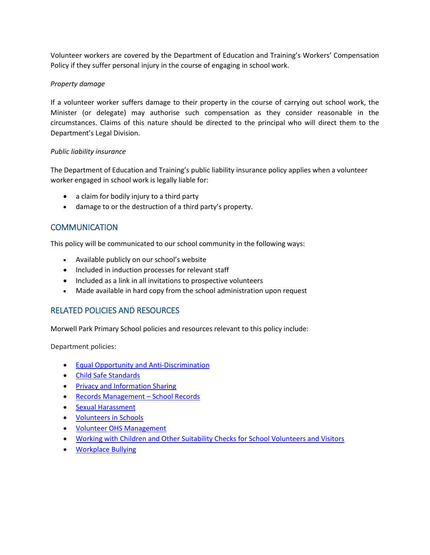Volunteer workers are covered by the Department of Education and Training's Workers' Compensation Policy if they suffer personal injury in the course of engaging in school work.

#### *Property damage*

If a volunteer worker suffers damage to their property in the course of carrying out school work, the Minister (or delegate) may authorise such compensation as they consider reasonable in the circumstances. Claims of this nature should be directed to the principal who will direct them to the Department's Legal Division.

#### *Public liability insurance*

The Department of Education and Training's public liability insurance policy applies when a volunteer worker engaged in school work is legally liable for:

- a claim for bodily injury to a third party
- damage to or the destruction of a third party's property.

# **COMMUNICATION**

This policy will be communicated to our school community in the following ways:

- Available publicly on our school's website
- Included in induction processes for relevant staff
- Included as a link in all invitations to prospective volunteers
- Made available in hard copy from the school administration upon request

# RELATED POLICIES AND RESOURCES

Morwell Park Primary School policies and resources relevant to this policy include:

Department policies:

- **•** [Equal Opportunity and Anti-Discrimination](https://www2.education.vic.gov.au/pal/equal-opportunity/policy-and-guidelines)
- [Child Safe Standards](https://www2.education.vic.gov.au/pal/child-safe-standards/policy)
- [Privacy and Information Sharing](https://www2.education.vic.gov.au/pal/privacy-information-sharing/policy)
- [Records Management](https://www2.education.vic.gov.au/pal/records-management/policy)  School Records
- [Sexual Harassment](https://www2.education.vic.gov.au/pal/sexual-harassment/policy-and-guidelines)
- [Volunteers in Schools](https://www2.education.vic.gov.au/pal/volunteers/policy)
- [Volunteer OHS Management](https://www2.education.vic.gov.au/pal/volunteer-ohs-management/policy)
- Working with Children and Other [Suitability Checks for School Volunteers and Visitors](https://www2.education.vic.gov.au/pal/suitability-checks/policy)
- [Workplace Bullying](https://www2.education.vic.gov.au/pal/workplace-bullying/policy)